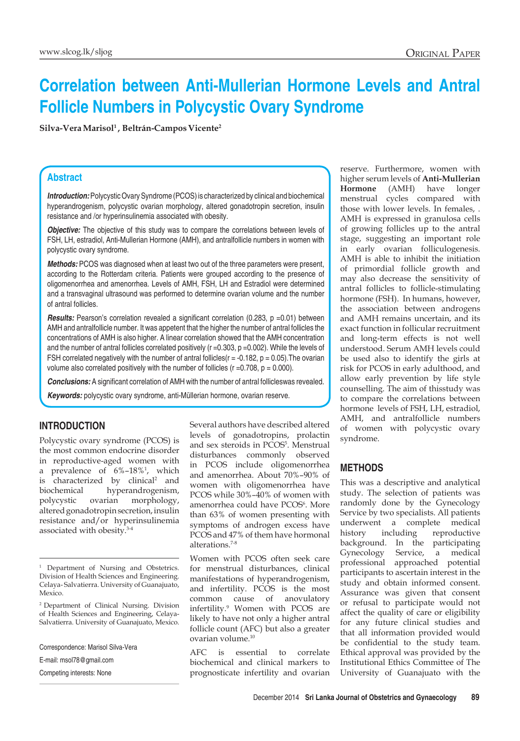# **Correlation between Anti-Mullerian Hormone Levels and Antral Follicle Numbers in Polycystic Ovary Syndrome**

Silva-Vera Marisol<sup>1</sup>, Beltrán-Campos Vicente<sup>2</sup>

#### **Abstract**

*Introduction:* Polycystic Ovary Syndrome (PCOS) is characterized by clinical and biochemical hyperandrogenism, polycystic ovarian morphology, altered gonadotropin secretion, insulin resistance and /or hyperinsulinemia associated with obesity.

**Objective:** The objective of this study was to compare the correlations between levels of FSH, LH, estradiol, Anti-Mullerian Hormone (AMH), and antralfollicle numbers in women with polycystic ovary syndrome.

*Methods:* PCOS was diagnosed when at least two out of the three parameters were present, according to the Rotterdam criteria. Patients were grouped according to the presence of oligomenorrhea and amenorrhea. Levels of AMH, FSH, LH and Estradiol were determined and a transvaginal ultrasound was performed to determine ovarian volume and the number of antral follicles.

**Results:** Pearson's correlation revealed a significant correlation (0.283, p =0.01) between AMH and antralfollicle number. It was appetent that the higher the number of antral follicles the concentrations of AMH is also higher. A linear correlation showed that the AMH concentration and the number of antral follicles correlated positively (r =0.303, p =0.002). While the levels of FSH correlated negatively with the number of antral follicles( $r = -0.182$ ,  $p = 0.05$ ). The ovarian volume also correlated positively with the number of follicles ( $r = 0.708$ ,  $p = 0.000$ ).

*Conclusions:* A significant correlation of AMH with the number of antral follicleswas revealed.

*Keywords:* polycystic ovary syndrome, anti-Müllerian hormone, ovarian reserve.

#### **Introduction**

Polycystic ovary syndrome (PCOS) is the most common endocrine disorder in reproductive-aged women with a prevalence of 6%–18%1 , which is characterized by clinical<sup>2</sup> and biochemical hyperandrogenism, polycystic ovarian morphology, altered gonadotropin secretion, insulin resistance and/or hyperinsulinemia associated with obesity.3-4

Competing interests: None

Several authors have described altered levels of gonadotropins, prolactin and sex steroids in PCOS5 . Menstrual disturbances commonly observed in PCOS include oligomenorrhea and amenorrhea. About 70%–90% of women with oligomenorrhea have PCOS while 30%–40% of women with amenorrhea could have PCOS<sup>6</sup>. More than 63% of women presenting with symptoms of androgen excess have PCOS and 47% of them have hormonal alterations.7-8

Women with PCOS often seek care for menstrual disturbances, clinical manifestations of hyperandrogenism, and infertility. PCOS is the most common cause of anovulatory infertility.9 Women with PCOS are likely to have not only a higher antral follicle count (AFC) but also a greater ovarian volume.10

AFC is essential to correlate biochemical and clinical markers to prognosticate infertility and ovarian reserve. Furthermore, women with higher serum levels of **Anti-Mullerian Hormone** (AMH) have longer menstrual cycles compared with those with lower levels. In females, . AMH is expressed in granulosa cells of growing follicles up to the antral stage, suggesting an important role in early ovarian folliculogenesis. AMH is able to inhibit the initiation of primordial follicle growth and may also decrease the sensitivity of antral follicles to follicle-stimulating hormone (FSH). In humans, however, the association between androgens and AMH remains uncertain, and its exact function in follicular recruitment and long-term effects is not well understood. Serum AMH levels could be used also to identify the girls at risk for PCOS in early adulthood, and allow early prevention by life style counselling. The aim of thisstudy was to compare the correlations between hormone levels of FSH, LH, estradiol, AMH, and antralfollicle numbers of women with polycystic ovary syndrome.

## **Methods**

This was a descriptive and analytical study. The selection of patients was randomly done by the Gynecology Service by two specialists. All patients underwent a complete medical history including reproductive background. In the participating Gynecology Service, a medical professional approached potential participants to ascertain interest in the study and obtain informed consent. Assurance was given that consent or refusal to participate would not affect the quality of care or eligibility for any future clinical studies and that all information provided would be confidential to the study team. Ethical approval was provided by the Institutional Ethics Committee of The University of Guanajuato with the

<sup>&</sup>lt;sup>1</sup> Department of Nursing and Obstetrics. Division of Health Sciences and Engineering. Celaya- Salvatierra. University of Guanajuato, Mexico.

<sup>2</sup> Department of Clinical Nursing. Division of Health Sciences and Engineering, Celaya-Salvatierra. University of Guanajuato, Mexico.

Correspondence: Marisol Silva-Vera

E-mail: msol78@gmail.com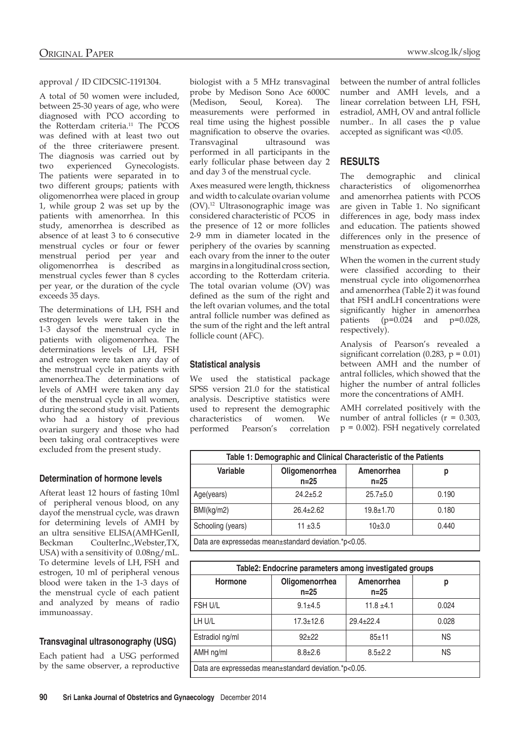#### approval / ID CIDCSIC-1191304.

A total of 50 women were included, between 25-30 years of age, who were diagnosed with PCO according to the Rotterdam criteria.<sup>11</sup> The PCOS was defined with at least two out of the three criteriawere present. The diagnosis was carried out by two experienced Gynecologists. The patients were separated in to two different groups; patients with oligomenorrhea were placed in group 1, while group 2 was set up by the patients with amenorrhea. In this study, amenorrhea is described as absence of at least 3 to 6 consecutive menstrual cycles or four or fewer menstrual period per year and oligomenorrhea is described as menstrual cycles fewer than 8 cycles per year, or the duration of the cycle exceeds 35 days.

The determinations of LH, FSH and estrogen levels were taken in the 1-3 daysof the menstrual cycle in patients with oligomenorrhea. The determinations levels of LH, FSH and estrogen were taken any day of the menstrual cycle in patients with amenorrhea.The determinations of levels of AMH were taken any day of the menstrual cycle in all women, during the second study visit. Patients who had a history of previous ovarian surgery and those who had been taking oral contraceptives were excluded from the present study.

#### **Determination of hormone levels**

Afterat least 12 hours of fasting 10ml of peripheral venous blood, on any dayof the menstrual cycle, was drawn for determining levels of AMH by an ultra sensitive ELISA(AMHGenII, Beckman CoulterInc.,Webster,TX, USA) with a sensitivity of 0.08ng/mL. To determine levels of LH, FSH and estrogen, 10 ml of peripheral venous blood were taken in the 1-3 days of the menstrual cycle of each patient and analyzed by means of radio immunoassay.

# **Transvaginal ultrasonography (USG)**

Each patient had a USG performed by the same observer, a reproductive biologist with a 5 MHz transvaginal probe by Medison Sono Ace 6000C (Medison, Seoul, Korea). The measurements were performed in real time using the highest possible magnification to observe the ovaries. Transvaginal ultrasound was performed in all participants in the early follicular phase between day 2 and day 3 of the menstrual cycle.

Axes measured were length, thickness and width to calculate ovarian volume (OV).12 Ultrasonographic image was considered characteristic of PCOS in the presence of 12 or more follicles 2-9 mm in diameter located in the periphery of the ovaries by scanning each ovary from the inner to the outer margins in a longitudinal cross section, according to the Rotterdam criteria. The total ovarian volume (OV) was defined as the sum of the right and the left ovarian volumes, and the total antral follicle number was defined as the sum of the right and the left antral follicle count (AFC).

#### **Statistical analysis**

We used the statistical package SPSS version 21.0 for the statistical analysis. Descriptive statistics were used to represent the demographic characteristics of women. We performed Pearson's correlation between the number of antral follicles number and AMH levels, and a linear correlation between LH, FSH, estradiol, AMH, OV and antral follicle number.. In all cases the p value accepted as significant was <0.05.

# **Results**

The demographic and clinical characteristics of oligomenorrhea and amenorrhea patients with PCOS are given in Table 1. No significant differences in age, body mass index and education. The patients showed differences only in the presence of menstruation as expected.

When the women in the current study were classified according to their menstrual cycle into oligomenorrhea and amenorrhea (Table 2) it was found that FSH andLH concentrations were significantly higher in amenorrhea patients  $(p=0.024$  and  $p=0.028$ , respectively).

Analysis of Pearson's revealed a significant correlation (0.283,  $p = 0.01$ ) between AMH and the number of antral follicles, which showed that the higher the number of antral follicles more the concentrations of AMH.

AMH correlated positively with the number of antral follicles  $(r = 0.303)$ , p = 0.002). FSH negatively correlated

| Table 1: Demographic and Clinical Characteristic of the Patients |                            |                        |       |  |  |
|------------------------------------------------------------------|----------------------------|------------------------|-------|--|--|
| Variable                                                         | Oligomenorrhea<br>$n = 25$ | Amenorrhea<br>$n = 25$ | р     |  |  |
| Age(years)                                                       | $24.2 + 5.2$               | $25.7 \pm 5.0$         | 0.190 |  |  |
| BMl(kg/m2)                                                       | $26.4 \pm 2.62$            | $19.8 + 1.70$          | 0.180 |  |  |
| Schooling (years)                                                | $11 + 3.5$                 | 10±3.0                 | 0.440 |  |  |
| Data are expressedge mean+standard deviation $*_{R}>0$ 05        |                            |                        |       |  |  |

Data are expressedas mean±standard deviation.\*p<0.05.

| Table2: Endocrine parameters among investigated groups |                            |                        |           |  |  |
|--------------------------------------------------------|----------------------------|------------------------|-----------|--|--|
| Hormone                                                | Oligomenorrhea<br>$n = 25$ | Amenorrhea<br>$n = 25$ | р         |  |  |
| FSH U/L                                                | $9.1 \pm 4.5$              | $11.8 \pm 4.1$         | 0.024     |  |  |
| LH U/L                                                 | $17.3 \pm 12.6$            | $29.4 + 22.4$          | 0.028     |  |  |
| Estradiol ng/ml                                        | $92 + 22$                  | $85 + 11$              | <b>NS</b> |  |  |
| AMH ng/ml                                              | $8.8 \pm 2.6$              | $8.5 \pm 2.2$          | NS.       |  |  |
| Data are expressedas mean±standard deviation.*p<0.05.  |                            |                        |           |  |  |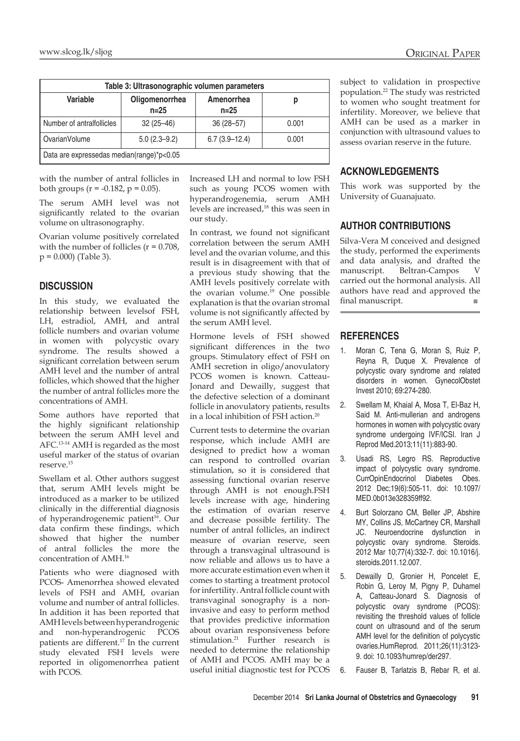| Table 3: Ultrasonographic volumen parameters |                            |                        |       |  |  |
|----------------------------------------------|----------------------------|------------------------|-------|--|--|
| Variable                                     | Oligomenorrhea<br>$n = 25$ | Amenorrhea<br>$n = 25$ | р     |  |  |
| Number of antralfollicles                    | $32(25 - 46)$              | $36(28 - 57)$          | 0.001 |  |  |
| OvarianVolume                                | $5.0(2.3 - 9.2)$           | $6.7(3.9-12.4)$        | 0.001 |  |  |
| Data are expressedas median(range)*p<0.05    |                            |                        |       |  |  |

with the number of antral follicles in both groups ( $r = -0.182$ ,  $p = 0.05$ ).

The serum AMH level was not significantly related to the ovarian volume on ultrasonography.

Ovarian volume positively correlated with the number of follicles  $(r = 0.708,$  $p = 0.000$  (Table 3).

## **Discussion**

In this study, we evaluated the relationship between levelsof FSH, LH, estradiol, AMH, and antral follicle numbers and ovarian volume in women with polycystic ovary syndrome. The results showed a significant correlation between serum AMH level and the number of antral follicles, which showed that the higher the number of antral follicles more the concentrations of AMH.

Some authors have reported that the highly significant relationship between the serum AMH level and AFC.13-14 AMH is regarded as the most useful marker of the status of ovarian reserve.15

Swellam et al. Other authors suggest that, serum AMH levels might be introduced as a marker to be utilized clinically in the differential diagnosis of hyperandrogenemic patient<sup>16</sup>. Our data confirm these findings, which showed that higher the number of antral follicles the more the concentration of AMH.16

Patients who were diagnosed with PCOS- Amenorrhea showed elevated levels of FSH and AMH, ovarian volume and number of antral follicles. In addition it has been reported that AMH levels between hyperandrogenic and non-hyperandrogenic PCOS patients are different.17 In the current study elevated FSH levels were reported in oligomenorrhea patient with PCOS.

Increased LH and normal to low FSH such as young PCOS women with hyperandrogenemia, serum AMH levels are increased,<sup>18</sup> this was seen in our study.

In contrast, we found not significant correlation between the serum AMH level and the ovarian volume, and this result is in disagreement with that of a previous study showing that the AMH levels positively correlate with the ovarian volume.<sup>19</sup> One possible explanation is that the ovarian stromal volume is not significantly affected by the serum AMH level.

Hormone levels of FSH showed significant differences in the two groups. Stimulatory effect of FSH on AMH secretion in oligo/anovulatory PCOS women is known. Catteau-Jonard and Dewailly, suggest that the defective selection of a dominant follicle in anovulatory patients, results in a local inhibition of FSH action.20

Current tests to determine the ovarian response, which include AMH are designed to predict how a woman can respond to controlled ovarian stimulation, so it is considered that assessing functional ovarian reserve through AMH is not enough.FSH levels increase with age, hindering the estimation of ovarian reserve and decrease possible fertility. The number of antral follicles, an indirect measure of ovarian reserve, seen through a transvaginal ultrasound is now reliable and allows us to have a more accurate estimation even when it comes to starting a treatment protocol for infertility. Antral follicle count with transvaginal sonography is a noninvasive and easy to perform method that provides predictive information about ovarian responsiveness before stimulation.21 Further research is needed to determine the relationship of AMH and PCOS. AMH may be a useful initial diagnostic test for PCOS

subject to validation in prospective population.22 The study was restricted to women who sought treatment for infertility. Moreover, we believe that AMH can be used as a marker in conjunction with ultrasound values to assess ovarian reserve in the future.

# **Acknowledgements**

This work was supported by the University of Guanajuato.

# **Author contributions**

Silva-Vera M conceived and designed the study, performed the experiments and data analysis, and drafted the manuscript. Beltran-Campos V carried out the hormonal analysis. All authors have read and approved the final manuscript.

# **References**

- 1. Moran C, Tena G, Moran S, Ruiz P, Reyna R, Duque X. Prevalence of polycystic ovary syndrome and related disorders in women. GynecolObstet Invest 2010; 69:274-280.
- 2. Swellam M, Khaial A, Mosa T, El-Baz H, Said M. Anti-mullerian and androgens hormones in women with polycystic ovary syndrome undergoing IVF/ICSI. Iran J Reprod Med.2013;11(11):883-90.
- 3. Usadi RS, Legro RS. Reproductive impact of polycystic ovary syndrome. CurrOpinEndocrinol Diabetes Obes. 2012 Dec;19(6):505-11. doi: 10.1097/ MED.0b013e328359ff92.
- 4. Burt Solorzano CM, Beller JP, Abshire MY, Collins JS, McCartney CR, Marshall JC. Neuroendocrine dysfunction in polycystic ovary syndrome. Steroids. 2012 Mar 10;77(4):332-7. doi: 10.1016/j. steroids.2011.12.007.
- 5. Dewailly D, Gronier H, Poncelet E, Robin G, Leroy M, Pigny P, Duhamel A, Catteau-Jonard S. Diagnosis of polycystic ovary syndrome (PCOS): revisiting the threshold values of follicle count on ultrasound and of the serum AMH level for the definition of polycystic ovaries.HumReprod. 2011;26(11):3123- 9. doi: 10.1093/humrep/der297.
- 6. Fauser B, Tarlatzis B, Rebar R, et al.